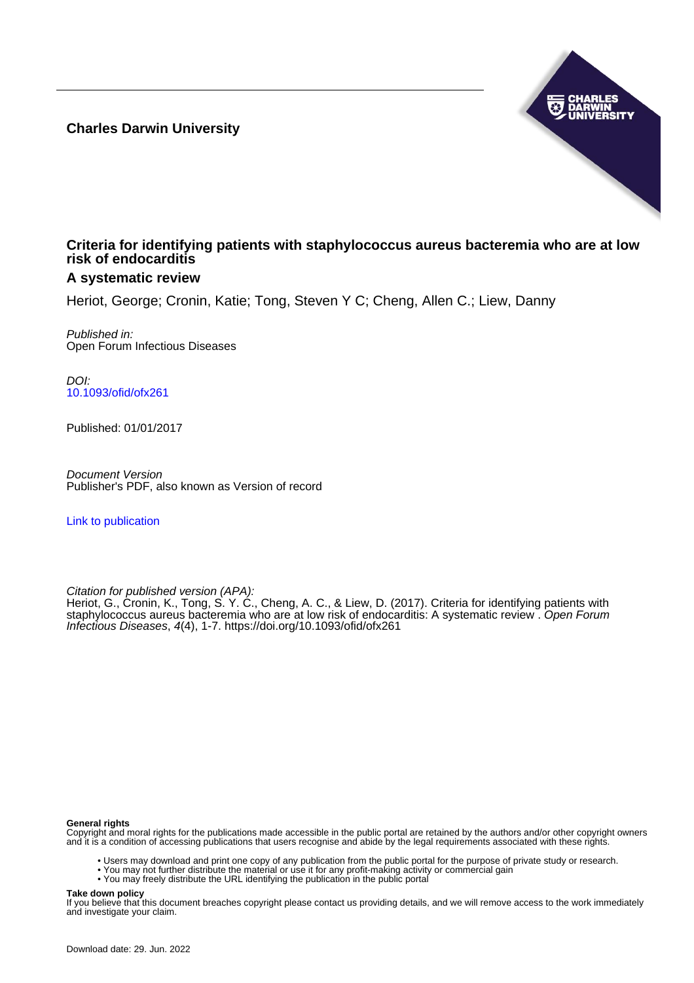**Charles Darwin University**



## **Criteria for identifying patients with staphylococcus aureus bacteremia who are at low risk of endocarditis**

## **A systematic review**

Heriot, George; Cronin, Katie; Tong, Steven Y C; Cheng, Allen C.; Liew, Danny

Published in: Open Forum Infectious Diseases

DOI: [10.1093/ofid/ofx261](https://doi.org/10.1093/ofid/ofx261)

Published: 01/01/2017

Document Version Publisher's PDF, also known as Version of record

[Link to publication](https://researchers.cdu.edu.au/en/publications/4e5b7deb-6aa5-4934-8241-6c59e7604fc7)

Citation for published version (APA):

Heriot, G., Cronin, K., Tong, S. Y. C., Cheng, A. C., & Liew, D. (2017). Criteria for identifying patients with staphylococcus aureus bacteremia who are at low risk of endocarditis: A systematic review . Open Forum Infectious Diseases, 4(4), 1-7. <https://doi.org/10.1093/ofid/ofx261>

#### **General rights**

Copyright and moral rights for the publications made accessible in the public portal are retained by the authors and/or other copyright owners and it is a condition of accessing publications that users recognise and abide by the legal requirements associated with these rights.

- Users may download and print one copy of any publication from the public portal for the purpose of private study or research.
- You may not further distribute the material or use it for any profit-making activity or commercial gain
- You may freely distribute the URL identifying the publication in the public portal

#### **Take down policy**

If you believe that this document breaches copyright please contact us providing details, and we will remove access to the work immediately and investigate your claim.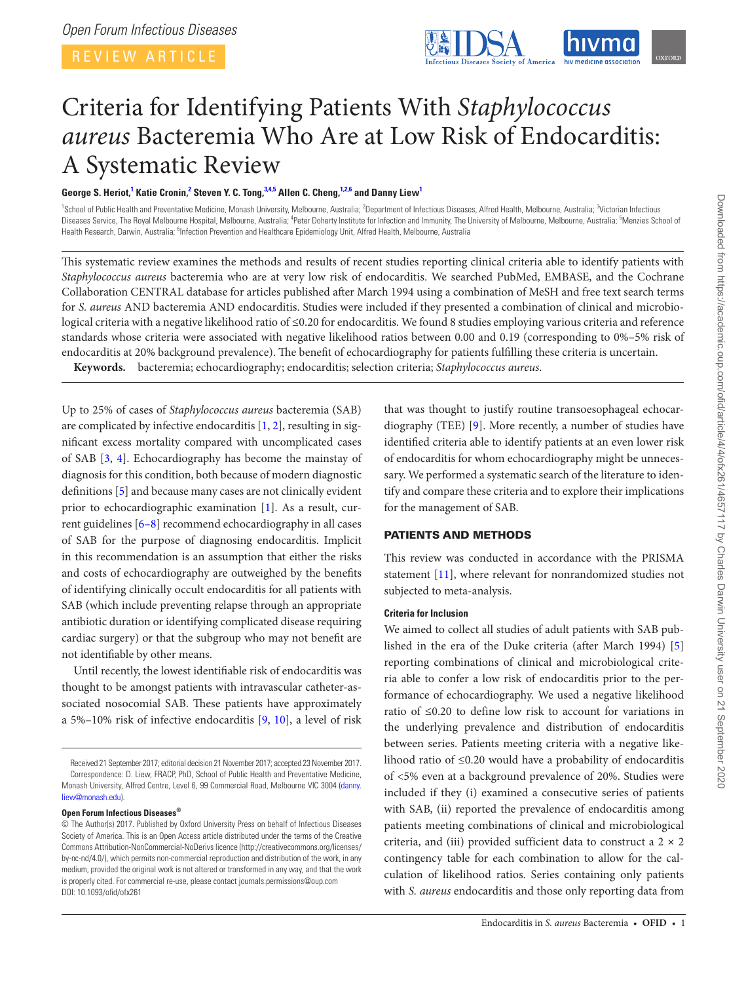REVIEW ARTICLE

<span id="page-1-4"></span><span id="page-1-2"></span>

# Criteria for Identifying Patients With *Staphylococcus aureus* Bacteremia Who Are at Low Risk of Endocarditis: A Systematic Review

## $\bf{G}$ eorge S. Heriot,<sup>[1](#page-1-0)</sup> Katie Cronin,<sup>[2](#page-1-1)</sup> Steven Y. C. Tong, $3.4,5$  $3.4,5$  $3.4,5$  $3.4,5$  Allen C. Cheng, $1.2,6$  $1.2,6$  $1.2,6$  and Danny Liew<sup>1</sup>

<span id="page-1-5"></span><span id="page-1-3"></span><span id="page-1-1"></span><span id="page-1-0"></span><sup>1</sup>School of Public Health and Preventative Medicine, Monash University, Melbourne, Australia; <sup>2</sup>Department of Infectious Diseases, Alfred Health, Melbourne, Australia; <sup>3</sup>Victorian Infectious Diseases Service, The Royal Melbourne Hospital, Melbourne, Australia; <sup>4</sup>Peter Doherty Institute for Infection and Immunity, The University of Melbourne, Melbourne, Australia; <sup>5</sup>Menzies School of Health Research, Darwin, Australia; <sup>6</sup>Infection Prevention and Healthcare Epidemiology Unit, Alfred Health, Melbourne, Australia

This systematic review examines the methods and results of recent studies reporting clinical criteria able to identify patients with *Staphylococcus aureus* bacteremia who are at very low risk of endocarditis. We searched PubMed, EMBASE, and the Cochrane Collaboration CENTRAL database for articles published after March 1994 using a combination of MeSH and free text search terms for *S. aureus* AND bacteremia AND endocarditis. Studies were included if they presented a combination of clinical and microbiological criteria with a negative likelihood ratio of ≤0.20 for endocarditis. We found 8 studies employing various criteria and reference standards whose criteria were associated with negative likelihood ratios between 0.00 and 0.19 (corresponding to 0%–5% risk of endocarditis at 20% background prevalence). The benefit of echocardiography for patients fulfilling these criteria is uncertain.

**Keywords.** bacteremia; echocardiography; endocarditis; selection criteria; *Staphylococcus aureus*.

Up to 25% of cases of *Staphylococcus aureus* bacteremia (SAB) are complicated by infective endocarditis  $[1, 2]$  $[1, 2]$  $[1, 2]$ , resulting in significant excess mortality compared with uncomplicated cases of SAB [\[3,](#page-7-2) [4\]](#page-7-3). Echocardiography has become the mainstay of diagnosis for this condition, both because of modern diagnostic definitions [[5](#page-7-4)] and because many cases are not clinically evident prior to echocardiographic examination [\[1\]](#page-7-0). As a result, current guidelines [\[6–8\]](#page-7-5) recommend echocardiography in all cases of SAB for the purpose of diagnosing endocarditis. Implicit in this recommendation is an assumption that either the risks and costs of echocardiography are outweighed by the benefits of identifying clinically occult endocarditis for all patients with SAB (which include preventing relapse through an appropriate antibiotic duration or identifying complicated disease requiring cardiac surgery) or that the subgroup who may not benefit are not identifiable by other means.

Until recently, the lowest identifiable risk of endocarditis was thought to be amongst patients with intravascular catheter-associated nosocomial SAB. These patients have approximately a 5%–10% risk of infective endocarditis [[9](#page-7-6), [10](#page-7-7)], a level of risk

#### **Open Forum Infectious Diseases®**

that was thought to justify routine transoesophageal echocardiography (TEE) [[9](#page-7-6)]. More recently, a number of studies have identified criteria able to identify patients at an even lower risk of endocarditis for whom echocardiography might be unnecessary. We performed a systematic search of the literature to identify and compare these criteria and to explore their implications for the management of SAB.

## PATIENTS AND METHODS

This review was conducted in accordance with the PRISMA statement [\[11](#page-7-8)], where relevant for nonrandomized studies not subjected to meta-analysis.

## **Criteria for Inclusion**

We aimed to collect all studies of adult patients with SAB published in the era of the Duke criteria (after March 1994) [\[5\]](#page-7-4) reporting combinations of clinical and microbiological criteria able to confer a low risk of endocarditis prior to the performance of echocardiography. We used a negative likelihood ratio of ≤0.20 to define low risk to account for variations in the underlying prevalence and distribution of endocarditis between series. Patients meeting criteria with a negative likelihood ratio of ≤0.20 would have a probability of endocarditis of <5% even at a background prevalence of 20%. Studies were included if they (i) examined a consecutive series of patients with SAB, (ii) reported the prevalence of endocarditis among patients meeting combinations of clinical and microbiological criteria, and (iii) provided sufficient data to construct a  $2 \times 2$ contingency table for each combination to allow for the calculation of likelihood ratios. Series containing only patients with *S. aureus* endocarditis and those only reporting data from

Received 21 September 2017; editorial decision 21 November 2017; accepted 23 November 2017. Correspondence: D. Liew, FRACP, PhD, School of Public Health and Preventative Medicine, Monash University, Alfred Centre, Level 6, 99 Commercial Road, Melbourne VIC 3004 ([danny.](mailto:danny.liew@monash.edu?subject=) [liew@monash.edu](mailto:danny.liew@monash.edu?subject=)).

<sup>©</sup> The Author(s) 2017. Published by Oxford University Press on behalf of Infectious Diseases Society of America. This is an Open Access article distributed under the terms of the Creative Commons Attribution-NonCommercial-NoDerivs licence (http://creativecommons.org/licenses/ by-nc-nd/4.0/), which permits non-commercial reproduction and distribution of the work, in any medium, provided the original work is not altered or transformed in any way, and that the work is properly cited. For commercial re-use, please contact journals.permissions@oup.com DOI: 10.1093/ofid/ofx261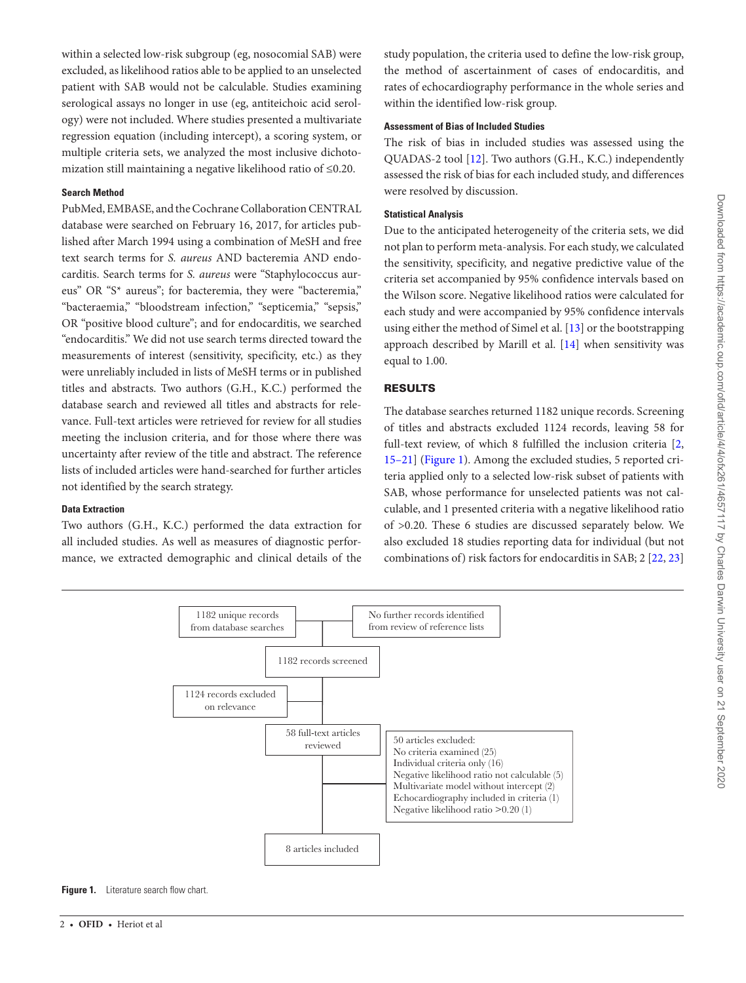within a selected low-risk subgroup (eg, nosocomial SAB) were excluded, as likelihood ratios able to be applied to an unselected patient with SAB would not be calculable. Studies examining serological assays no longer in use (eg, antiteichoic acid serology) were not included. Where studies presented a multivariate regression equation (including intercept), a scoring system, or multiple criteria sets, we analyzed the most inclusive dichotomization still maintaining a negative likelihood ratio of ≤0.20.

#### **Search Method**

PubMed, EMBASE, and the Cochrane Collaboration CENTRAL database were searched on February 16, 2017, for articles published after March 1994 using a combination of MeSH and free text search terms for *S. aureus* AND bacteremia AND endocarditis. Search terms for *S. aureus* were "Staphylococcus aureus" OR "S\* aureus"; for bacteremia, they were "bacteremia," "bacteraemia," "bloodstream infection," "septicemia," "sepsis," OR "positive blood culture"; and for endocarditis, we searched "endocarditis." We did not use search terms directed toward the measurements of interest (sensitivity, specificity, etc.) as they were unreliably included in lists of MeSH terms or in published titles and abstracts. Two authors (G.H., K.C.) performed the database search and reviewed all titles and abstracts for relevance. Full-text articles were retrieved for review for all studies meeting the inclusion criteria, and for those where there was uncertainty after review of the title and abstract. The reference lists of included articles were hand-searched for further articles not identified by the search strategy.

#### **Data Extraction**

Two authors (G.H., K.C.) performed the data extraction for all included studies. As well as measures of diagnostic performance, we extracted demographic and clinical details of the study population, the criteria used to define the low-risk group, the method of ascertainment of cases of endocarditis, and rates of echocardiography performance in the whole series and within the identified low-risk group.

#### **Assessment of Bias of Included Studies**

The risk of bias in included studies was assessed using the QUADAS-2 tool [\[12\]](#page-7-9). Two authors (G.H., K.C.) independently assessed the risk of bias for each included study, and differences were resolved by discussion.

### **Statistical Analysis**

Due to the anticipated heterogeneity of the criteria sets, we did not plan to perform meta-analysis. For each study, we calculated the sensitivity, specificity, and negative predictive value of the criteria set accompanied by 95% confidence intervals based on the Wilson score. Negative likelihood ratios were calculated for each study and were accompanied by 95% confidence intervals using either the method of Simel et al. [\[13](#page-7-10)] or the bootstrapping approach described by Marill et al. [\[14](#page-7-11)] when sensitivity was equal to 1.00.

#### RESULTS

The database searches returned 1182 unique records. Screening of titles and abstracts excluded 1124 records, leaving 58 for full-text review, of which 8 fulfilled the inclusion criteria [\[2,](#page-7-1) [15–21](#page-7-12)] [\(Figure 1](#page-2-0)). Among the excluded studies, 5 reported criteria applied only to a selected low-risk subset of patients with SAB, whose performance for unselected patients was not calculable, and 1 presented criteria with a negative likelihood ratio of >0.20. These 6 studies are discussed separately below. We also excluded 18 studies reporting data for individual (but not combinations of) risk factors for endocarditis in SAB; 2 [\[22](#page-7-13), [23\]](#page-7-14)



<span id="page-2-0"></span>**Figure 1.** Literature search flow chart.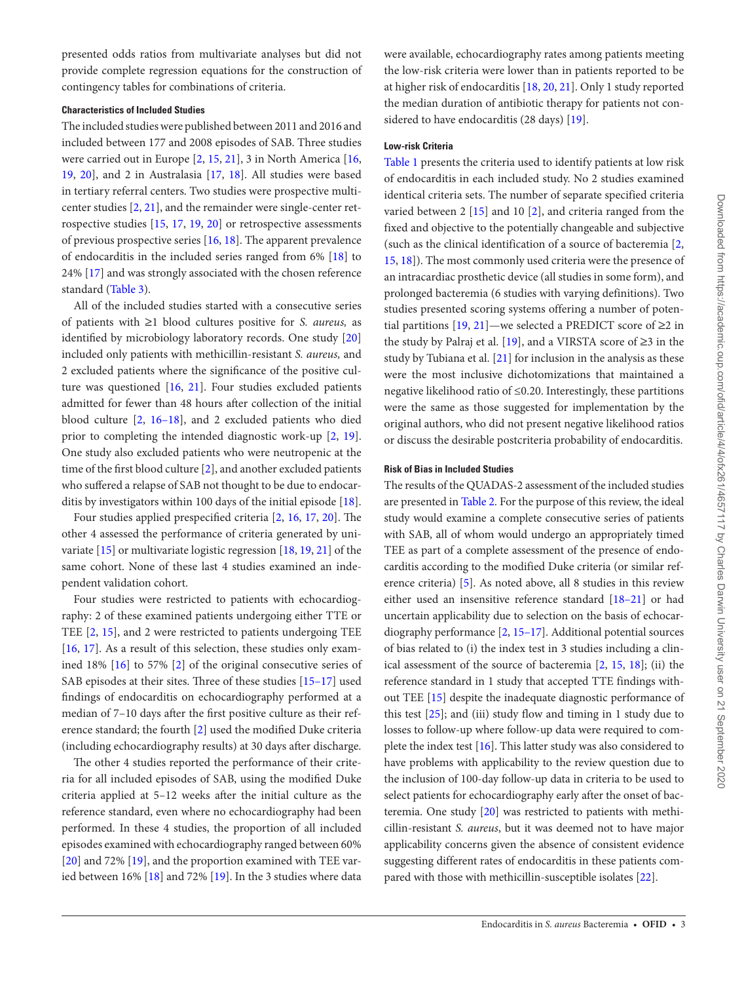presented odds ratios from multivariate analyses but did not provide complete regression equations for the construction of contingency tables for combinations of criteria.

#### **Characteristics of Included Studies**

The included studies were published between 2011 and 2016 and included between 177 and 2008 episodes of SAB. Three studies were carried out in Europe [[2](#page-7-1), [15,](#page-7-12) [21](#page-7-15)], 3 in North America [[16,](#page-7-16) [19](#page-7-17), [20\]](#page-7-18), and 2 in Australasia [[17,](#page-7-19) [18](#page-7-20)]. All studies were based in tertiary referral centers. Two studies were prospective multicenter studies [\[2,](#page-7-1) [21](#page-7-15)], and the remainder were single-center retrospective studies [[15,](#page-7-12) [17,](#page-7-19) [19,](#page-7-17) [20\]](#page-7-18) or retrospective assessments of previous prospective series [\[16](#page-7-16), [18\]](#page-7-20). The apparent prevalence of endocarditis in the included series ranged from 6% [[18](#page-7-20)] to 24% [[17\]](#page-7-19) and was strongly associated with the chosen reference standard ([Table 3\)](#page-5-0).

All of the included studies started with a consecutive series of patients with ≥1 blood cultures positive for *S. aureus,* as identified by microbiology laboratory records. One study [[20\]](#page-7-18) included only patients with methicillin-resistant *S. aureus,* and 2 excluded patients where the significance of the positive culture was questioned [[16](#page-7-16), [21](#page-7-15)]. Four studies excluded patients admitted for fewer than 48 hours after collection of the initial blood culture [\[2,](#page-7-1) [16–18\]](#page-7-16), and 2 excluded patients who died prior to completing the intended diagnostic work-up [\[2,](#page-7-1) [19\]](#page-7-17). One study also excluded patients who were neutropenic at the time of the first blood culture [\[2\]](#page-7-1), and another excluded patients who suffered a relapse of SAB not thought to be due to endocarditis by investigators within 100 days of the initial episode [\[18](#page-7-20)].

Four studies applied prespecified criteria [[2](#page-7-1), [16](#page-7-16), [17](#page-7-19), [20\]](#page-7-18). The other 4 assessed the performance of criteria generated by univariate [[15\]](#page-7-12) or multivariate logistic regression [[18,](#page-7-20) [19,](#page-7-17) [21](#page-7-15)] of the same cohort. None of these last 4 studies examined an independent validation cohort.

Four studies were restricted to patients with echocardiography: 2 of these examined patients undergoing either TTE or TEE [[2](#page-7-1), [15](#page-7-12)], and 2 were restricted to patients undergoing TEE [\[16](#page-7-16), [17\]](#page-7-19). As a result of this selection, these studies only examined 18% [\[16\]](#page-7-16) to 57% [[2\]](#page-7-1) of the original consecutive series of SAB episodes at their sites. Three of these studies [\[15–17\]](#page-7-12) used findings of endocarditis on echocardiography performed at a median of 7–10 days after the first positive culture as their reference standard; the fourth [\[2\]](#page-7-1) used the modified Duke criteria (including echocardiography results) at 30 days after discharge.

The other 4 studies reported the performance of their criteria for all included episodes of SAB, using the modified Duke criteria applied at 5–12 weeks after the initial culture as the reference standard, even where no echocardiography had been performed. In these 4 studies, the proportion of all included episodes examined with echocardiography ranged between 60% [\[20](#page-7-18)] and 72% [[19\]](#page-7-17), and the proportion examined with TEE varied between 16% [\[18](#page-7-20)] and 72% [[19\]](#page-7-17). In the 3 studies where data were available, echocardiography rates among patients meeting the low-risk criteria were lower than in patients reported to be at higher risk of endocarditis [\[18](#page-7-20), [20,](#page-7-18) [21\]](#page-7-15). Only 1 study reported the median duration of antibiotic therapy for patients not considered to have endocarditis (28 days) [[19\]](#page-7-17).

## **Low-risk Criteria**

[Table 1](#page-4-0) presents the criteria used to identify patients at low risk of endocarditis in each included study. No 2 studies examined identical criteria sets. The number of separate specified criteria varied between 2 [[15\]](#page-7-12) and 10 [[2](#page-7-1)], and criteria ranged from the fixed and objective to the potentially changeable and subjective (such as the clinical identification of a source of bacteremia [\[2,](#page-7-1) [15](#page-7-12), [18](#page-7-20)]). The most commonly used criteria were the presence of an intracardiac prosthetic device (all studies in some form), and prolonged bacteremia (6 studies with varying definitions). Two studies presented scoring systems offering a number of potential partitions  $[19, 21]$  $[19, 21]$  $[19, 21]$  $[19, 21]$ —we selected a PREDICT score of  $\geq 2$  in the study by Palraj et al. [\[19](#page-7-17)], and a VIRSTA score of ≥3 in the study by Tubiana et al. [[21\]](#page-7-15) for inclusion in the analysis as these were the most inclusive dichotomizations that maintained a negative likelihood ratio of ≤0.20. Interestingly, these partitions were the same as those suggested for implementation by the original authors, who did not present negative likelihood ratios or discuss the desirable postcriteria probability of endocarditis.

## **Risk of Bias in Included Studies**

The results of the QUADAS-2 assessment of the included studies are presented in [Table 2.](#page-5-1) For the purpose of this review, the ideal study would examine a complete consecutive series of patients with SAB, all of whom would undergo an appropriately timed TEE as part of a complete assessment of the presence of endocarditis according to the modified Duke criteria (or similar reference criteria) [\[5\]](#page-7-4). As noted above, all 8 studies in this review either used an insensitive reference standard [\[18–21](#page-7-20)] or had uncertain applicability due to selection on the basis of echocardiography performance [[2](#page-7-1), [15–17](#page-7-12)]. Additional potential sources of bias related to (i) the index test in 3 studies including a clinical assessment of the source of bacteremia [\[2,](#page-7-1) [15](#page-7-12), [18](#page-7-20)]; (ii) the reference standard in 1 study that accepted TTE findings without TEE [\[15](#page-7-12)] despite the inadequate diagnostic performance of this test  $[25]$  $[25]$ ; and (iii) study flow and timing in 1 study due to losses to follow-up where follow-up data were required to complete the index test [[16\]](#page-7-16). This latter study was also considered to have problems with applicability to the review question due to the inclusion of 100-day follow-up data in criteria to be used to select patients for echocardiography early after the onset of bacteremia. One study [\[20](#page-7-18)] was restricted to patients with methicillin-resistant *S. aureus*, but it was deemed not to have major applicability concerns given the absence of consistent evidence suggesting different rates of endocarditis in these patients compared with those with methicillin-susceptible isolates [[22\]](#page-7-13).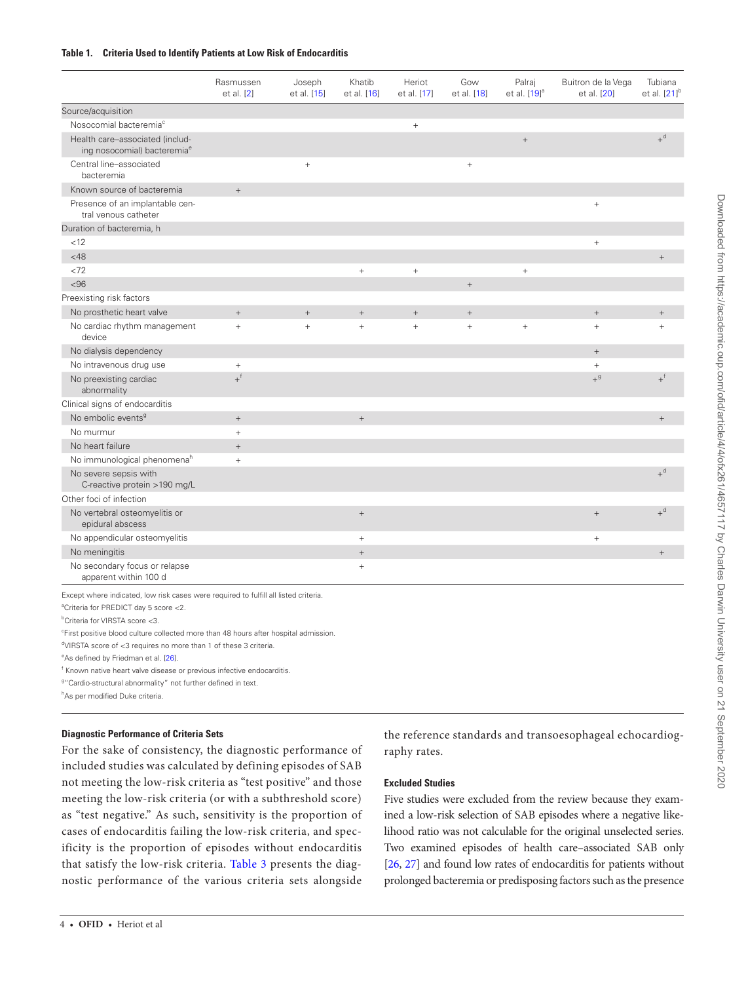#### <span id="page-4-0"></span>**Table 1. Criteria Used to Identify Patients at Low Risk of Endocarditis**

|                                                                            | Rasmussen<br>et al. [2] | Joseph<br>et al. [15] | Khatib<br>et al. [16] | Heriot<br>et al. [17] | Gow<br>et al. [18] | Palraj<br>et al. [19] <sup>a</sup> | Buitron de la Vega<br>et al. [20] | Tubiana<br>et al. $[21]$ <sup>b</sup> |
|----------------------------------------------------------------------------|-------------------------|-----------------------|-----------------------|-----------------------|--------------------|------------------------------------|-----------------------------------|---------------------------------------|
| Source/acquisition                                                         |                         |                       |                       |                       |                    |                                    |                                   |                                       |
| Nosocomial bacteremia <sup>c</sup>                                         |                         |                       |                       |                       |                    |                                    |                                   |                                       |
| Health care-associated (includ-<br>ing nosocomial) bacteremia <sup>e</sup> |                         |                       |                       |                       |                    | $\! +$                             |                                   | $+$ <sup>d</sup>                      |
| Central line-associated<br>bacteremia                                      |                         | $^{+}$                |                       |                       | $\! +$             |                                    |                                   |                                       |
| Known source of bacteremia                                                 | $\! +$                  |                       |                       |                       |                    |                                    |                                   |                                       |
| Presence of an implantable cen-<br>tral venous catheter                    |                         |                       |                       |                       |                    |                                    | $\! + \!\!\!\!$                   |                                       |
| Duration of bacteremia, h                                                  |                         |                       |                       |                       |                    |                                    |                                   |                                       |
| < 12                                                                       |                         |                       |                       |                       |                    |                                    | $^{+}$                            |                                       |
| $<$ 48                                                                     |                         |                       |                       |                       |                    |                                    |                                   |                                       |
| < 72                                                                       |                         |                       | $\! +$                | $\! +$                |                    | $+$                                |                                   |                                       |
| < 96                                                                       |                         |                       |                       |                       | $\! +$             |                                    |                                   |                                       |
| Preexisting risk factors                                                   |                         |                       |                       |                       |                    |                                    |                                   |                                       |
| No prosthetic heart valve                                                  | $^+ \,$                 | $\boldsymbol{+}$      | $\boldsymbol{+}$      | $\! +$                | $\! +$             |                                    | $\boldsymbol{+}$                  | $^+$                                  |
| No cardiac rhythm management<br>device                                     | $+$                     | $^{+}$                | $^{+}$                | $+$                   | $\! + \!\!\!\!$    | $+$                                | $\qquad \qquad +$                 |                                       |
| No dialysis dependency                                                     |                         |                       |                       |                       |                    |                                    | $+$                               |                                       |
| No intravenous drug use                                                    | $\boldsymbol{+}$        |                       |                       |                       |                    |                                    | $\! + \!\!\!\!$                   |                                       |
| No preexisting cardiac<br>abnormality                                      | $+$ <sup>f</sup>        |                       |                       |                       |                    |                                    | $+$ <sup>g</sup>                  | $+$ <sup>f</sup>                      |
| Clinical signs of endocarditis                                             |                         |                       |                       |                       |                    |                                    |                                   |                                       |
| No embolic events <sup>9</sup>                                             | $^{+}$                  |                       | $+$                   |                       |                    |                                    |                                   | $+$                                   |
| No murmur                                                                  | $+$                     |                       |                       |                       |                    |                                    |                                   |                                       |
| No heart failure                                                           | $^{+}$                  |                       |                       |                       |                    |                                    |                                   |                                       |
| No immunological phenomena <sup>h</sup>                                    | $+$                     |                       |                       |                       |                    |                                    |                                   |                                       |
| No severe sepsis with<br>C-reactive protein >190 mg/L                      |                         |                       |                       |                       |                    |                                    |                                   | $+$ <sup>d</sup>                      |
| Other foci of infection                                                    |                         |                       |                       |                       |                    |                                    |                                   |                                       |
| No vertebral osteomyelitis or<br>epidural abscess                          |                         |                       | $\ddot{}$             |                       |                    |                                    | $\boldsymbol{+}$                  | $+$ <sup>d</sup>                      |
| No appendicular osteomyelitis                                              |                         |                       | $\qquad \qquad +$     |                       |                    |                                    | $\qquad \qquad +$                 |                                       |
| No meningitis                                                              |                         |                       |                       |                       |                    |                                    |                                   | $^+$                                  |
| No secondary focus or relapse<br>apparent within 100 d                     |                         |                       | $^{+}$                |                       |                    |                                    |                                   |                                       |

Except where indicated, low risk cases were required to fulfill all listed criteria.

a Criteria for PREDICT day 5 score <2.

b Criteria for VIRSTA score <3.

<sup>c</sup>First positive blood culture collected more than 48 hours after hospital admission.

d VIRSTA score of <3 requires no more than 1 of these 3 criteria.

eAs defined by Friedman et al. [\[26\]](#page-7-22).

f Known native heart valve disease or previous infective endocarditis.

<sup>9</sup>" Cardio-structural abnormality" not further defined in text.

hAs per modified Duke criteria.

#### **Diagnostic Performance of Criteria Sets**

For the sake of consistency, the diagnostic performance of included studies was calculated by defining episodes of SAB not meeting the low-risk criteria as "test positive" and those meeting the low-risk criteria (or with a subthreshold score) as "test negative." As such, sensitivity is the proportion of cases of endocarditis failing the low-risk criteria, and specificity is the proportion of episodes without endocarditis that satisfy the low-risk criteria. [Table 3](#page-5-0) presents the diagnostic performance of the various criteria sets alongside the reference standards and transoesophageal echocardiography rates.

#### **Excluded Studies**

Five studies were excluded from the review because they examined a low-risk selection of SAB episodes where a negative likelihood ratio was not calculable for the original unselected series. Two examined episodes of health care–associated SAB only [\[26,](#page-7-22) [27](#page-7-23)] and found low rates of endocarditis for patients without prolonged bacteremia or predisposing factors such as the presence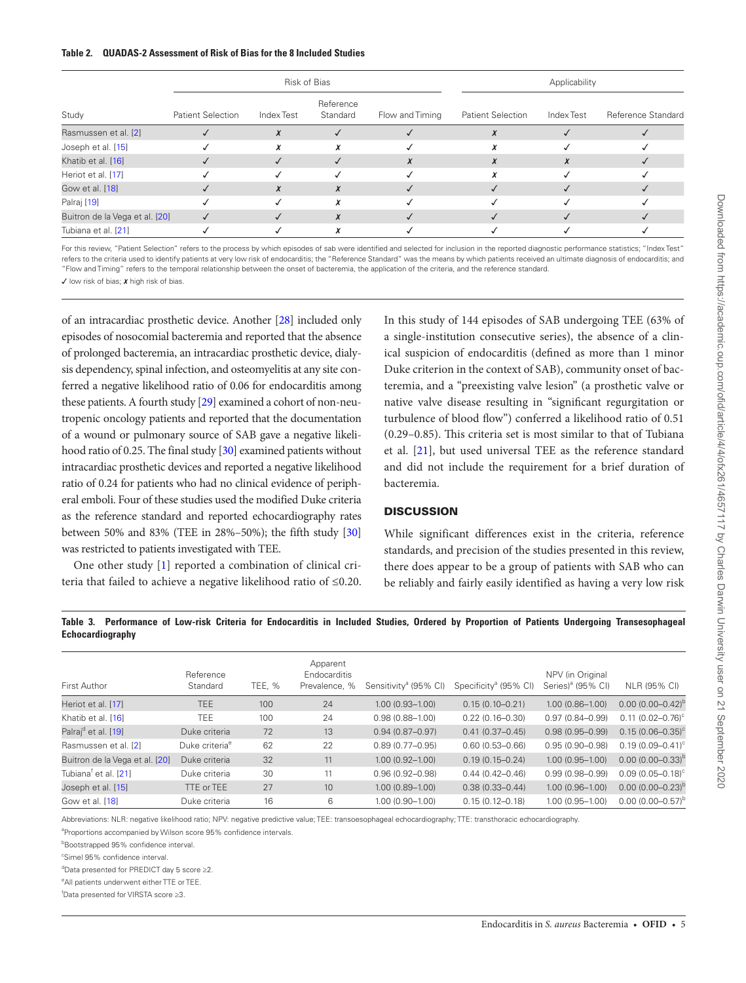#### <span id="page-5-1"></span>**Table 2. QUADAS-2 Assessment of Risk of Bias for the 8 Included Studies**

|                                |                          |            | Risk of Bias          | Applicability   |                          |            |                    |
|--------------------------------|--------------------------|------------|-----------------------|-----------------|--------------------------|------------|--------------------|
| Study                          | <b>Patient Selection</b> | Index Test | Reference<br>Standard | Flow and Timing | <b>Patient Selection</b> | Index Test | Reference Standard |
| Rasmussen et al. [2]           |                          | x          |                       |                 |                          |            |                    |
| Joseph et al. [15]             |                          |            |                       |                 |                          |            |                    |
| Khatib et al. [16]             |                          |            |                       | х               |                          | X          |                    |
| Heriot et al. [17]             |                          |            |                       |                 |                          |            |                    |
| Gow et al. [18]                |                          | $\chi$     | $\boldsymbol{X}$      |                 |                          |            |                    |
| Palraj [19]                    |                          |            |                       |                 |                          |            |                    |
| Buitron de la Vega et al. [20] |                          |            |                       |                 |                          |            |                    |
| Tubiana et al. [21]            |                          |            |                       |                 |                          |            |                    |

For this review, "Patient Selection" refers to the process by which episodes of sab were identified and selected for inclusion in the reported diagnostic performance statistics; "Index Test" refers to the criteria used to identify patients at very low risk of endocarditis; the "Reference Standard" was the means by which patients received an ultimate diagnosis of endocarditis; and "Flow and Timing" refers to the temporal relationship between the onset of bacteremia, the application of the criteria, and the reference standard.

 $\checkmark$  low risk of bias;  $\chi$  high risk of bias.

of an intracardiac prosthetic device. Another [\[28\]](#page-7-24) included only episodes of nosocomial bacteremia and reported that the absence of prolonged bacteremia, an intracardiac prosthetic device, dialysis dependency, spinal infection, and osteomyelitis at any site conferred a negative likelihood ratio of 0.06 for endocarditis among these patients. A fourth study [\[29](#page-7-25)] examined a cohort of non-neutropenic oncology patients and reported that the documentation of a wound or pulmonary source of SAB gave a negative likelihood ratio of 0.25. The final study [\[30\]](#page-7-26) examined patients without intracardiac prosthetic devices and reported a negative likelihood ratio of 0.24 for patients who had no clinical evidence of peripheral emboli. Four of these studies used the modified Duke criteria as the reference standard and reported echocardiography rates between 50% and 83% (TEE in 28%–50%); the fifth study [\[30\]](#page-7-26) was restricted to patients investigated with TEE.

One other study [\[1\]](#page-7-0) reported a combination of clinical criteria that failed to achieve a negative likelihood ratio of ≤0.20.

In this study of 144 episodes of SAB undergoing TEE (63% of a single-institution consecutive series), the absence of a clinical suspicion of endocarditis (defined as more than 1 minor Duke criterion in the context of SAB), community onset of bacteremia, and a "preexisting valve lesion" (a prosthetic valve or native valve disease resulting in "significant regurgitation or turbulence of blood flow") conferred a likelihood ratio of 0.51 (0.29–0.85). This criteria set is most similar to that of Tubiana et al. [\[21](#page-7-15)], but used universal TEE as the reference standard and did not include the requirement for a brief duration of bacteremia.

#### **DISCUSSION**

While significant differences exist in the criteria, reference standards, and precision of the studies presented in this review, there does appear to be a group of patients with SAB who can be reliably and fairly easily identified as having a very low risk

#### <span id="page-5-0"></span>**Table 3. Performance of Low-risk Criteria for Endocarditis in Included Studies, Ordered by Proportion of Patients Undergoing Transesophageal Echocardiography**

| First Author                     | Reference<br>Standard      | TEE, % | Apparent<br><b>Endocarditis</b><br>Prevalence, % | Sensitivity <sup>a</sup> (95% CI) | Specificity <sup>a</sup> (95% CI) | NPV (in Original<br>Series) <sup>a</sup> (95% CI) | NLR (95% CI)             |
|----------------------------------|----------------------------|--------|--------------------------------------------------|-----------------------------------|-----------------------------------|---------------------------------------------------|--------------------------|
| Heriot et al. [17]               | TEE.                       | 100    | 24                                               | $1.00(0.93 - 1.00)$               | $0.15(0.10 - 0.21)$               | $1.00(0.86 - 1.00)$                               | $0.00(0.00 - 0.42)^{p}$  |
| Khatib et al. [16]               | <b>TEE</b>                 | 100    | 24                                               | $0.98(0.88 - 1.00)$               | $0.22(0.16 - 0.30)$               | $0.97(0.84 - 0.99)$                               | $0.11$ $(0.02 - 0.76)^c$ |
| Palraj <sup>d</sup> et al. [19]  | Duke criteria              | 72     | 13                                               | $0.94(0.87 - 0.97)$               | $0.41(0.37 - 0.45)$               | $0.98(0.95 - 0.99)$                               | $0.15(0.06 - 0.35)^c$    |
| Rasmussen et al. [2]             | Duke criteria <sup>e</sup> | 62     | 22                                               | $0.89(0.77 - 0.95)$               | $0.60(0.53 - 0.66)$               | $0.95(0.90 - 0.98)$                               | $0.19(0.09 - 0.41)$ °    |
| Buitron de la Vega et al. [20]   | Duke criteria              | 32     | 11                                               | $1.00(0.92 - 1.00)$               | $0.19(0.15 - 0.24)$               | $1.00(0.95 - 1.00)$                               | $0.00(0.00 - 0.33)^b$    |
| Tubiana <sup>†</sup> et al. [21] | Duke criteria              | 30     | 11                                               | $0.96(0.92 - 0.98)$               | $0.44(0.42 - 0.46)$               | $0.99(0.98 - 0.99)$                               | $0.09(0.05 - 0.18)^c$    |
| Joseph et al. [15]               | TTE or TEE                 | 27     | 10 <sup>°</sup>                                  | $1.00(0.89 - 1.00)$               | $0.38(0.33 - 0.44)$               | $1.00(0.96 - 1.00)$                               | $0.00(0.00 - 0.23)^b$    |
| Gow et al. [18]                  | Duke criteria              | 16     | 6                                                | $1.00(0.90 - 1.00)$               | $0.15(0.12 - 0.18)$               | $1.00(0.95 - 1.00)$                               | $0.00(0.00 - 0.57)^b$    |

Abbreviations: NLR: negative likelihood ratio; NPV: negative predictive value; TEE: transoesophageal echocardiography; TTE: transthoracic echocardiography.

<sup>a</sup>Proportions accompanied by Wilson score 95% confidence intervals.

**Bootstrapped 95% confidence interval.** 

c Simel 95% confidence interval.

d Data presented for PREDICT day 5 score ≥2.

eAll patients underwent either TTE or TEE.

f Data presented for VIRSTA score ≥3.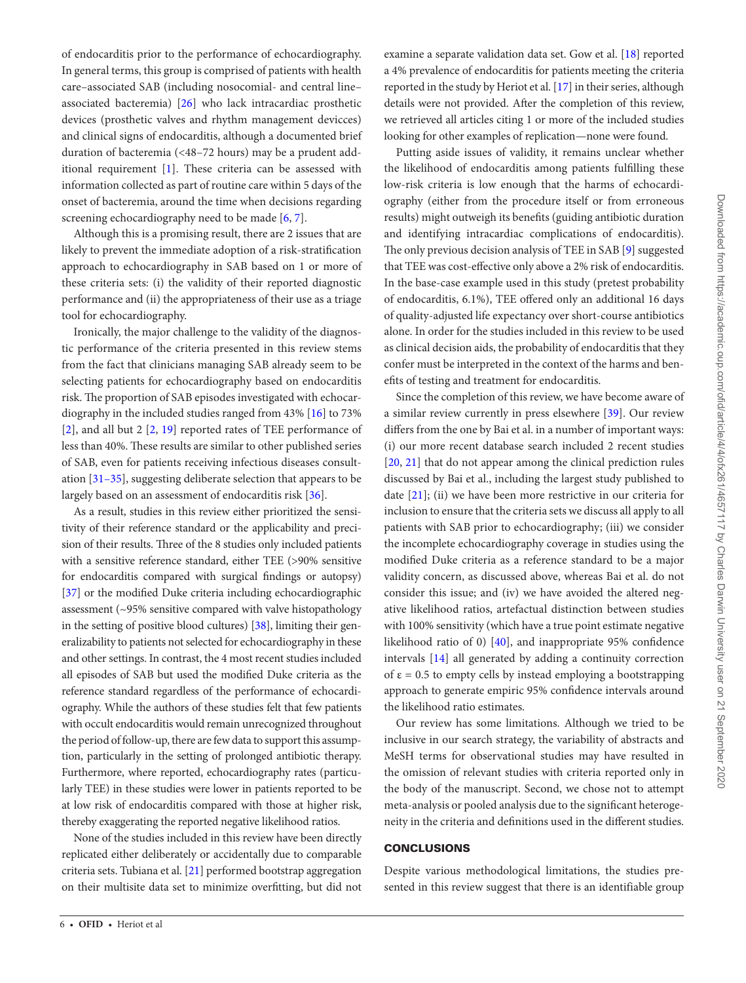of endocarditis prior to the performance of echocardiography. In general terms, this group is comprised of patients with health care–associated SAB (including nosocomial- and central line– associated bacteremia) [\[26](#page-7-22)] who lack intracardiac prosthetic devices (prosthetic valves and rhythm management devicces) and clinical signs of endocarditis, although a documented brief duration of bacteremia (<48–72 hours) may be a prudent additional requirement [\[1\]](#page-7-0). These criteria can be assessed with information collected as part of routine care within 5 days of the onset of bacteremia, around the time when decisions regarding screening echocardiography need to be made [[6](#page-7-5), [7](#page-7-27)].

Although this is a promising result, there are 2 issues that are likely to prevent the immediate adoption of a risk-stratification approach to echocardiography in SAB based on 1 or more of these criteria sets: (i) the validity of their reported diagnostic performance and (ii) the appropriateness of their use as a triage tool for echocardiography.

Ironically, the major challenge to the validity of the diagnostic performance of the criteria presented in this review stems from the fact that clinicians managing SAB already seem to be selecting patients for echocardiography based on endocarditis risk. The proportion of SAB episodes investigated with echocardiography in the included studies ranged from 43% [[16\]](#page-7-16) to 73% [\[2\]](#page-7-1), and all but 2 [\[2,](#page-7-1) [19\]](#page-7-17) reported rates of TEE performance of less than 40%. These results are similar to other published series of SAB, even for patients receiving infectious diseases consultation [[31–35](#page-7-28)], suggesting deliberate selection that appears to be largely based on an assessment of endocarditis risk [\[36](#page-7-29)].

As a result, studies in this review either prioritized the sensitivity of their reference standard or the applicability and precision of their results. Three of the 8 studies only included patients with a sensitive reference standard, either TEE (>90% sensitive for endocarditis compared with surgical findings or autopsy) [\[37](#page-7-30)] or the modified Duke criteria including echocardiographic assessment (~95% sensitive compared with valve histopathology in the setting of positive blood cultures) [\[38\]](#page-7-31), limiting their generalizability to patients not selected for echocardiography in these and other settings. In contrast, the 4 most recent studies included all episodes of SAB but used the modified Duke criteria as the reference standard regardless of the performance of echocardiography. While the authors of these studies felt that few patients with occult endocarditis would remain unrecognized throughout the period of follow-up, there are few data to support this assumption, particularly in the setting of prolonged antibiotic therapy. Furthermore, where reported, echocardiography rates (particularly TEE) in these studies were lower in patients reported to be at low risk of endocarditis compared with those at higher risk, thereby exaggerating the reported negative likelihood ratios.

None of the studies included in this review have been directly replicated either deliberately or accidentally due to comparable criteria sets. Tubiana et al. [\[21](#page-7-15)] performed bootstrap aggregation on their multisite data set to minimize overfitting, but did not

examine a separate validation data set. Gow et al. [[18\]](#page-7-20) reported a 4% prevalence of endocarditis for patients meeting the criteria reported in the study by Heriot et al. [[17\]](#page-7-19) in their series, although details were not provided. After the completion of this review, we retrieved all articles citing 1 or more of the included studies looking for other examples of replication—none were found.

Putting aside issues of validity, it remains unclear whether the likelihood of endocarditis among patients fulfilling these low-risk criteria is low enough that the harms of echocardiography (either from the procedure itself or from erroneous results) might outweigh its benefits (guiding antibiotic duration and identifying intracardiac complications of endocarditis). The only previous decision analysis of TEE in SAB [[9](#page-7-6)] suggested that TEE was cost-effective only above a 2% risk of endocarditis. In the base-case example used in this study (pretest probability of endocarditis, 6.1%), TEE offered only an additional 16 days of quality-adjusted life expectancy over short-course antibiotics alone. In order for the studies included in this review to be used as clinical decision aids, the probability of endocarditis that they confer must be interpreted in the context of the harms and benefits of testing and treatment for endocarditis.

Since the completion of this review, we have become aware of a similar review currently in press elsewhere [[39\]](#page-7-32). Our review differs from the one by Bai et al. in a number of important ways: (i) our more recent database search included 2 recent studies [\[20](#page-7-18), [21](#page-7-15)] that do not appear among the clinical prediction rules discussed by Bai et al., including the largest study published to date [[21](#page-7-15)]; (ii) we have been more restrictive in our criteria for inclusion to ensure that the criteria sets we discuss all apply to all patients with SAB prior to echocardiography; (iii) we consider the incomplete echocardiography coverage in studies using the modified Duke criteria as a reference standard to be a major validity concern, as discussed above, whereas Bai et al. do not consider this issue; and (iv) we have avoided the altered negative likelihood ratios, artefactual distinction between studies with 100% sensitivity (which have a true point estimate negative likelihood ratio of 0) [\[40](#page-7-33)], and inappropriate 95% confidence intervals [\[14](#page-7-11)] all generated by adding a continuity correction of  $\varepsilon$  = 0.5 to empty cells by instead employing a bootstrapping approach to generate empiric 95% confidence intervals around the likelihood ratio estimates.

Our review has some limitations. Although we tried to be inclusive in our search strategy, the variability of abstracts and MeSH terms for observational studies may have resulted in the omission of relevant studies with criteria reported only in the body of the manuscript. Second, we chose not to attempt meta-analysis or pooled analysis due to the significant heterogeneity in the criteria and definitions used in the different studies.

#### **CONCLUSIONS**

Despite various methodological limitations, the studies presented in this review suggest that there is an identifiable group